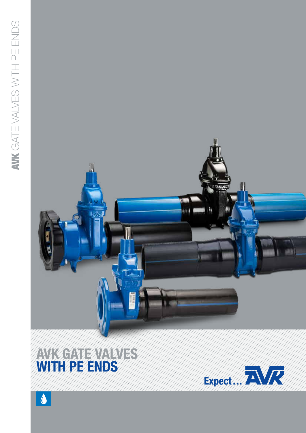

# AVK GATE VAN VES WITH PE ENDS

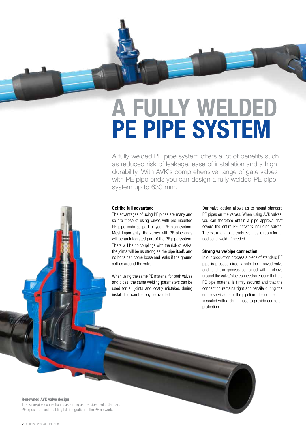# A FULLY WELDED PE PIPE SYSTEM

A fully welded PE pipe system offers a lot of benefits such as reduced risk of leakage, ease of installation and a high durability. With AVK's comprehensive range of gate valves with PE pipe ends you can design a fully welded PE pipe system up to 630 mm.

### Get the full advantage

The advantages of using PE pipes are many and so are those of using valves with pre-mounted PE pipe ends as part of your PE pipe system. Most importantly, the valves with PE pipe ends will be an integrated part of the PE pipe system. There will be no couplings with the risk of leaks, the joints will be as strong as the pipe itself, and no bolts can come loose and leaks if the ground settles around the valve.

When using the same PE material for both valves and pipes, the same welding parameters can be used for all joints and costly mistakes during installation can thereby be avoided.

Our valve design allows us to mount standard PE pipes on the valves. When using AVK valves, you can therefore obtain a pipe approval that covers the entire PE network including valves. The extra-long pipe ends even leave room for an additional weld, if needed.

# Strong valve/pipe connection

In our production process a piece of standard PE pipe is pressed directly onto the grooved valve end, and the grooves combined with a sleeve around the valve/pipe connection ensure that the PE pipe material is firmly secured and that the connection remains tight and tensile during the entire service life of the pipeline. The connection is sealed with a shrink hose to provide corrosion protection.

#### Renowned AVK valve design

The valve/pipe connection is as strong as the pipe itself. Standard PE pipes are used enabling full integration in the PE network.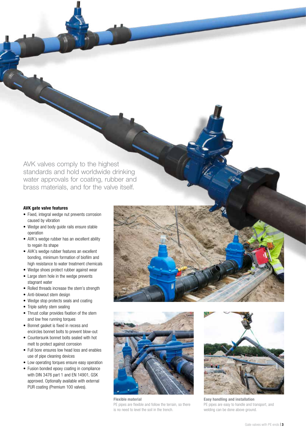AVK valves comply to the highest standards and hold worldwide drinking water approvals for coating, rubber and brass materials, and for the valve itself.

# AVK gate valve features

- Fixed, integral wedge nut prevents corrosion caused by vibration
- Wedge and body guide rails ensure stable operation
- AVK's wedge rubber has an excellent ability to regain its shape
- AVK's wedge rubber features an excellent bonding, minimum formation of biofilm and high resistance to water treatment chemicals
- Wedge shoes protect rubber against wear
- Large stem hole in the wedge prevents stagnant water
- Rolled threads increase the stem's strength
- Anti-blowout stem design
- Wedge stop protects seals and coating
- Triple safety stem sealing
- Thrust collar provides fixation of the stem and low free running torques
- Bonnet gasket is fixed in recess and encircles bonnet bolts to prevent blow-out
- Countersunk bonnet bolts sealed with hot melt to protect against corrosion
- Full bore ensures low head loss and enables use of pipe cleaning devices
- Low operating torques ensure easy operation
- Fusion bonded epoxy coating in compliance with DIN 3476 part 1 and EN 14901, GSK approved. Optionally available with external PUR coating (Premium 100 valves).



PE pipes are flexible and follow the terrain, so there is no need to level the soil in the trench.



Easy handling and installation PE pipes are easy to handle and transport, and welding can be done above ground.